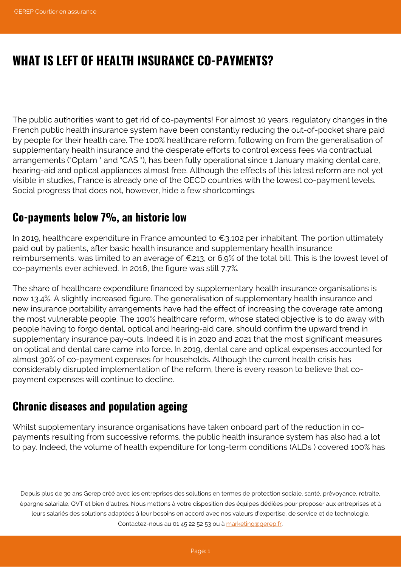# **WHAT IS LEFT OF HEALTH INSURANCE CO-PAYMENTS?**

The public authorities want to get rid of co-payments! For almost 10 years, regulatory changes in the French public health insurance system have been constantly reducing the out-of-pocket share paid by people for their health care. The 100% healthcare reform, following on from the generalisation of supplementary health insurance and the desperate efforts to control excess fees via contractual arrangements ("Optam " and "CAS "), has been fully operational since 1 January making dental care, hearing-aid and optical appliances almost free. Although the effects of this latest reform are not yet visible in studies, France is already one of the OECD countries with the lowest co-payment levels. Social progress that does not, however, hide a few shortcomings.

## **Co-payments below 7%, an historic low**

In 2019, healthcare expenditure in France amounted to  $\epsilon_{3,102}$  per inhabitant. The portion ultimately paid out by patients, after basic health insurance and supplementary health insurance reimbursements, was limited to an average of €213, or 6.9% of the total bill. This is the lowest level of co-payments ever achieved. In 2016, the figure was still 7.7%.

The share of healthcare expenditure financed by supplementary health insurance organisations is now 13.4%. A slightly increased figure. The generalisation of supplementary health insurance and new insurance portability arrangements have had the effect of increasing the coverage rate among the most vulnerable people. The 100% healthcare reform, whose stated objective is to do away with people having to forgo dental, optical and hearing-aid care, should confirm the upward trend in supplementary insurance pay-outs. Indeed it is in 2020 and 2021 that the most significant measures on optical and dental care came into force. In 2019, dental care and optical expenses accounted for almost 30% of co-payment expenses for households. Although the current health crisis has considerably disrupted implementation of the reform, there is every reason to believe that copayment expenses will continue to decline.

# **Chronic diseases and population ageing**

Whilst supplementary insurance organisations have taken onboard part of the reduction in copayments resulting from successive reforms, the public health insurance system has also had a lot to pay. Indeed, the volume of health expenditure for long-term conditions (ALDs ) covered 100% has

Depuis plus de 30 ans Gerep créé avec les entreprises des solutions en termes de protection sociale, santé, prévoyance, retraite, épargne salariale, QVT et bien d'autres. Nous mettons à votre disposition des équipes dédiées pour proposer aux entreprises et à leurs salariés des solutions adaptées à leur besoins en accord avec nos valeurs d'expertise, de service et de technologie. Contactez-nous au 01 45 22 52 53 ou à [marketing@gerep.fr](mailto:marketing@gerep.fr).